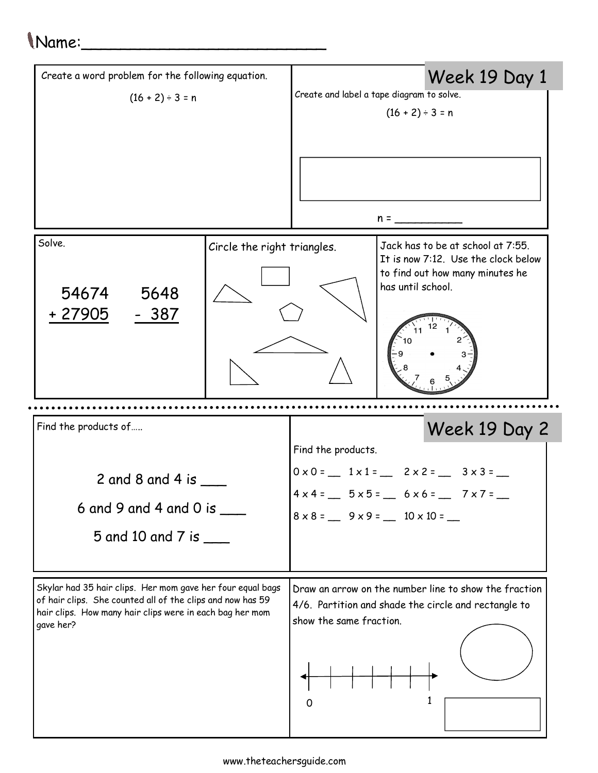## Name:\_\_\_\_\_\_\_\_\_\_\_\_\_\_\_\_\_\_\_\_\_\_\_\_\_

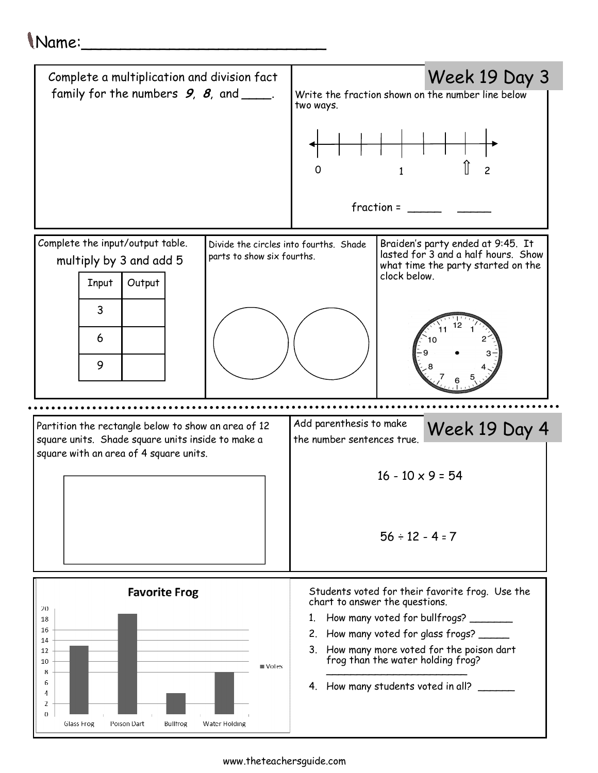## Name:\_\_\_\_\_\_\_\_\_\_\_\_\_\_\_\_\_\_\_\_\_\_\_\_\_